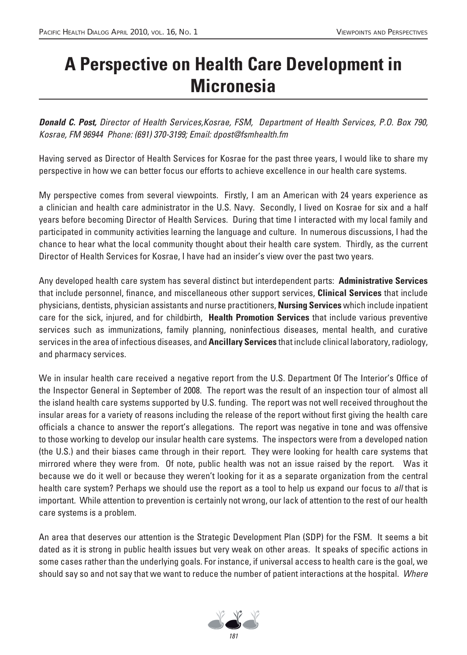## **A Perspective on Health Care Development in Micronesia**

*Donald C. Post,* Director of Health Services,Kosrae, FSM, Department of Health Services, P.O. Box 790, Kosrae, FM 96944 Phone: (691) 370-3199; Email: dpost@fsmhealth.fm

Having served as Director of Health Services for Kosrae for the past three years, I would like to share my perspective in how we can better focus our efforts to achieve excellence in our health care systems.

My perspective comes from several viewpoints. Firstly, I am an American with 24 years experience as a clinician and health care administrator in the U.S. Navy. Secondly, I lived on Kosrae for six and a half years before becoming Director of Health Services. During that time I interacted with my local family and participated in community activities learning the language and culture. In numerous discussions, I had the chance to hear what the local community thought about their health care system. Thirdly, as the current Director of Health Services for Kosrae, I have had an insider's view over the past two years.

Any developed health care system has several distinct but interdependent parts: **Administrative Services**  that include personnel, finance, and miscellaneous other support services, **Clinical Services** that include physicians, dentists, physician assistants and nurse practitioners, **Nursing Services** which include inpatient care for the sick, injured, and for childbirth, **Health Promotion Services** that include various preventive services such as immunizations, family planning, noninfectious diseases, mental health, and curative services in the area of infectious diseases, and **Ancillary Services** that include clinical laboratory, radiology, and pharmacy services.

We in insular health care received a negative report from the U.S. Department Of The Interior's Office of the Inspector General in September of 2008. The report was the result of an inspection tour of almost all the island health care systems supported by U.S. funding. The report was not well received throughout the insular areas for a variety of reasons including the release of the report without first giving the health care officials a chance to answer the report's allegations. The report was negative in tone and was offensive to those working to develop our insular health care systems. The inspectors were from a developed nation (the U.S.) and their biases came through in their report. They were looking for health care systems that mirrored where they were from. Of note, public health was not an issue raised by the report. Was it because we do it well or because they weren't looking for it as a separate organization from the central health care system? Perhaps we should use the report as a tool to help us expand our focus to all that is important. While attention to prevention is certainly not wrong, our lack of attention to the rest of our health care systems is a problem.

An area that deserves our attention is the Strategic Development Plan (SDP) for the FSM. It seems a bit dated as it is strong in public health issues but very weak on other areas. It speaks of specific actions in some cases rather than the underlying goals. For instance, if universal access to health care is the goal, we should say so and not say that we want to reduce the number of patient interactions at the hospital. Where

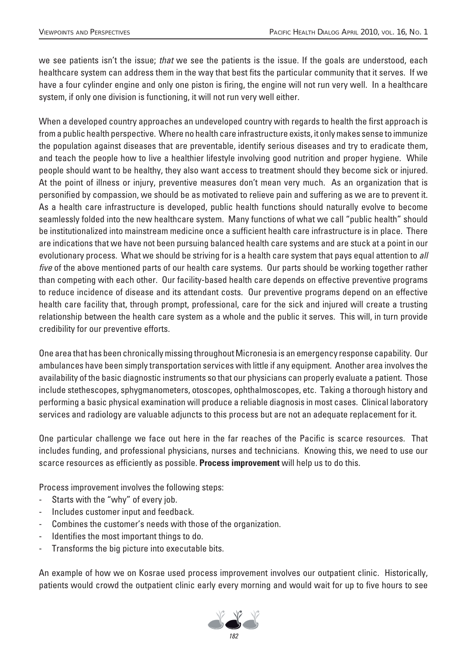we see patients isn't the issue; that we see the patients is the issue. If the goals are understood, each healthcare system can address them in the way that best fits the particular community that it serves. If we have a four cylinder engine and only one piston is firing, the engine will not run very well. In a healthcare system, if only one division is functioning, it will not run very well either.

When a developed country approaches an undeveloped country with regards to health the first approach is from a public health perspective. Where no health care infrastructure exists, it only makes sense to immunize the population against diseases that are preventable, identify serious diseases and try to eradicate them, and teach the people how to live a healthier lifestyle involving good nutrition and proper hygiene. While people should want to be healthy, they also want access to treatment should they become sick or injured. At the point of illness or injury, preventive measures don't mean very much. As an organization that is personified by compassion, we should be as motivated to relieve pain and suffering as we are to prevent it. As a health care infrastructure is developed, public health functions should naturally evolve to become seamlessly folded into the new healthcare system. Many functions of what we call "public health" should be institutionalized into mainstream medicine once a sufficient health care infrastructure is in place. There are indications that we have not been pursuing balanced health care systems and are stuck at a point in our evolutionary process. What we should be striving for is a health care system that pays equal attention to all *five* of the above mentioned parts of our health care systems. Our parts should be working together rather than competing with each other. Our facility-based health care depends on effective preventive programs to reduce incidence of disease and its attendant costs. Our preventive programs depend on an effective health care facility that, through prompt, professional, care for the sick and injured will create a trusting relationship between the health care system as a whole and the public it serves. This will, in turn provide credibility for our preventive efforts.

One area that has been chronically missing throughout Micronesia is an emergency response capability. Our ambulances have been simply transportation services with little if any equipment. Another area involves the availability of the basic diagnostic instruments so that our physicians can properly evaluate a patient. Those include stethescopes, sphygmanometers, otoscopes, ophthalmoscopes, etc. Taking a thorough history and performing a basic physical examination will produce a reliable diagnosis in most cases. Clinical laboratory services and radiology are valuable adjuncts to this process but are not an adequate replacement for it.

One particular challenge we face out here in the far reaches of the Pacific is scarce resources. That includes funding, and professional physicians, nurses and technicians. Knowing this, we need to use our scarce resources as efficiently as possible. **Process improvement** will help us to do this.

Process improvement involves the following steps:

- Starts with the "why" of every job.
- Includes customer input and feedback.
- Combines the customer's needs with those of the organization.
- Identifies the most important things to do.
- Transforms the big picture into executable bits.

An example of how we on Kosrae used process improvement involves our outpatient clinic. Historically, patients would crowd the outpatient clinic early every morning and would wait for up to five hours to see

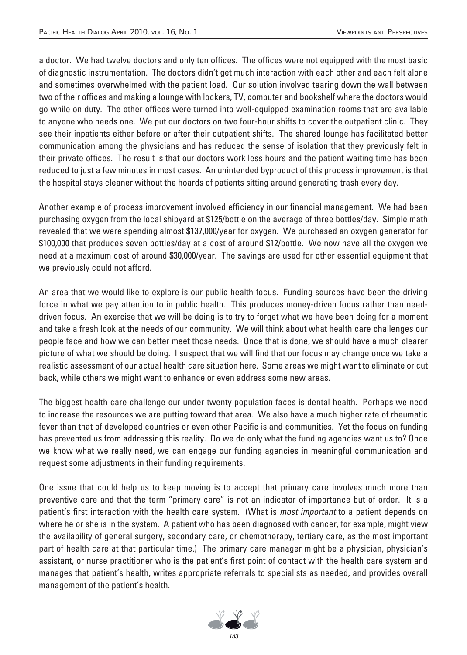a doctor. We had twelve doctors and only ten offices. The offices were not equipped with the most basic of diagnostic instrumentation. The doctors didn't get much interaction with each other and each felt alone and sometimes overwhelmed with the patient load. Our solution involved tearing down the wall between two of their offices and making a lounge with lockers, TV, computer and bookshelf where the doctors would go while on duty. The other offices were turned into well-equipped examination rooms that are available to anyone who needs one. We put our doctors on two four-hour shifts to cover the outpatient clinic. They see their inpatients either before or after their outpatient shifts. The shared lounge has facilitated better communication among the physicians and has reduced the sense of isolation that they previously felt in their private offices. The result is that our doctors work less hours and the patient waiting time has been reduced to just a few minutes in most cases. An unintended byproduct of this process improvement is that the hospital stays cleaner without the hoards of patients sitting around generating trash every day.

Another example of process improvement involved efficiency in our financial management. We had been purchasing oxygen from the local shipyard at \$125/bottle on the average of three bottles/day. Simple math revealed that we were spending almost \$137,000/year for oxygen. We purchased an oxygen generator for \$100,000 that produces seven bottles/day at a cost of around \$12/bottle. We now have all the oxygen we need at a maximum cost of around \$30,000/year. The savings are used for other essential equipment that we previously could not afford.

An area that we would like to explore is our public health focus. Funding sources have been the driving force in what we pay attention to in public health. This produces money-driven focus rather than needdriven focus. An exercise that we will be doing is to try to forget what we have been doing for a moment and take a fresh look at the needs of our community. We will think about what health care challenges our people face and how we can better meet those needs. Once that is done, we should have a much clearer picture of what we should be doing. I suspect that we will find that our focus may change once we take a realistic assessment of our actual health care situation here. Some areas we might want to eliminate or cut back, while others we might want to enhance or even address some new areas.

The biggest health care challenge our under twenty population faces is dental health. Perhaps we need to increase the resources we are putting toward that area. We also have a much higher rate of rheumatic fever than that of developed countries or even other Pacific island communities. Yet the focus on funding has prevented us from addressing this reality. Do we do only what the funding agencies want us to? Once we know what we really need, we can engage our funding agencies in meaningful communication and request some adjustments in their funding requirements.

One issue that could help us to keep moving is to accept that primary care involves much more than preventive care and that the term "primary care" is not an indicator of importance but of order. It is a patient's first interaction with the health care system. (What is *most important* to a patient depends on where he or she is in the system. A patient who has been diagnosed with cancer, for example, might view the availability of general surgery, secondary care, or chemotherapy, tertiary care, as the most important part of health care at that particular time.) The primary care manager might be a physician, physician's assistant, or nurse practitioner who is the patient's first point of contact with the health care system and manages that patient's health, writes appropriate referrals to specialists as needed, and provides overall management of the patient's health.